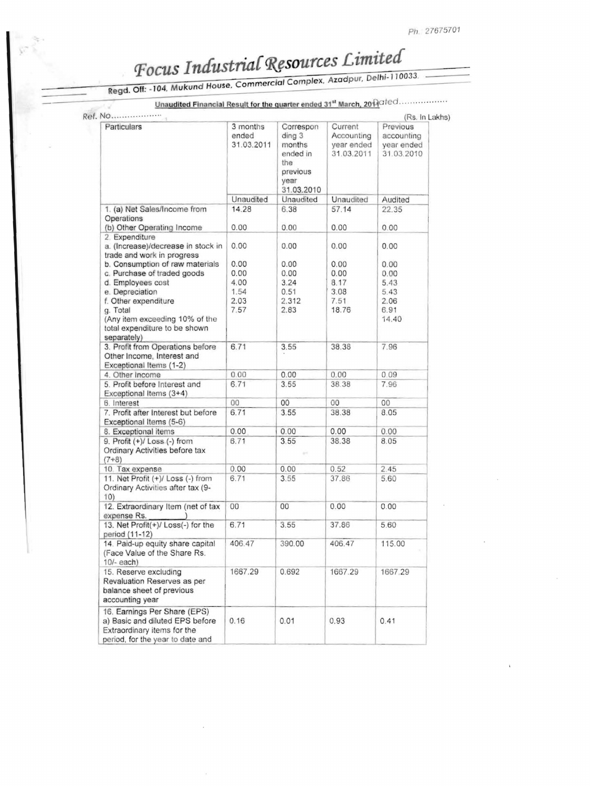## Focus Industrial Resources Limited

Regd. Off: -104, Mukund House, Commercial Complex, Azadpur, Delhi-110033.

Unaudited Financial Result for the quarter ended 31<sup>st</sup> March, 20 Ad<sup>ded</sup>..................

| Particulars                                                                                                                        | 3 months            | Correspon                                                             | Current                                | (Rs. In Lakhs)<br>Previous             |
|------------------------------------------------------------------------------------------------------------------------------------|---------------------|-----------------------------------------------------------------------|----------------------------------------|----------------------------------------|
|                                                                                                                                    | ended<br>31.03.2011 | ding 3<br>months<br>ended in<br>the<br>previous<br>year<br>31.03.2010 | Accounting<br>year ended<br>31.03.2011 | accounting<br>year ended<br>31.03.2010 |
|                                                                                                                                    | Unaudited           | Unaudited                                                             | Unaudited                              | Audited                                |
| 1. (a) Net Sales/Income from                                                                                                       | 14.28               | 6.38                                                                  | 57.14                                  | 22.35                                  |
| Operations                                                                                                                         |                     |                                                                       |                                        |                                        |
| (b) Other Operating Income                                                                                                         | 0.00                | 0.00                                                                  | 0.00                                   | 0.00                                   |
| 2. Expenditure<br>a. (Increase)/decrease in stock in<br>trade and work in progress                                                 | 0.00                | 0.00                                                                  | 0.00                                   | 0.00                                   |
| b. Consumption of raw materials                                                                                                    | 0.00                | 0.00                                                                  | 0.00                                   | 0.00                                   |
| c. Purchase of traded goods                                                                                                        | 0.00                | 0.00                                                                  | 0.00                                   | 0.00                                   |
| d. Employees cost                                                                                                                  | 4.00                | 3.24                                                                  | 8.17                                   | 5.43                                   |
| e. Depreciation                                                                                                                    | 1.54                | 0.51                                                                  | 3.08                                   | 5.43                                   |
|                                                                                                                                    |                     | 2.312                                                                 |                                        |                                        |
| f. Other expenditure                                                                                                               | 2.03                |                                                                       | 7.51                                   | 2.06                                   |
| g. Total<br>(Any item exceeding 10% of the<br>total expenditure to be shown<br>separately)                                         | 7.57                | 2.83                                                                  | 18.76                                  | 6.91<br>14.40                          |
| 3. Profit from Operations before<br>Other Income, Interest and<br>Exceptional Items (1-2)                                          | 6.71                | 3.55                                                                  | 38.38                                  | 7.96                                   |
| 4. Other Income                                                                                                                    | 0.00                | 0.00                                                                  | 0.00                                   | 0.09                                   |
| 5. Profit before Interest and<br>Exceptional Items (3+4)                                                                           | 6.71                | 3.55                                                                  | 38.38                                  | 7.96                                   |
| 6. Interest                                                                                                                        | 00                  | 00                                                                    | 00                                     | 00                                     |
| 7. Profit after Interest but before<br>Exceptional Items (5-6)                                                                     | 6.71                | 3.55                                                                  | 38.38                                  | 8.05                                   |
| 8. Exceptional items                                                                                                               | 0.00                | 0.00                                                                  | 0.00                                   | 0.00                                   |
| $9.$ Profit $(+)/$ Loss $(-)$ from<br>Ordinary Activities before tax<br>$(7+8)$                                                    | 6.71                | 3.55<br>and                                                           | 38.38                                  | 8.05                                   |
| 10. Tax expense                                                                                                                    | 0.00                | 0.00                                                                  | 0.52                                   | 2.45                                   |
| 11. Net Profit (+)/ Loss (-) from<br>Ordinary Activities after tax (9-<br>10)                                                      | 6.71                | 3.55                                                                  | 37.86                                  | 5.60                                   |
| 12. Extraordinary Item (net of tax<br>expense Rs.                                                                                  | 00                  | 00                                                                    | 0.00                                   | 0.00                                   |
| 13. Net Profit(+)/ Loss(-) for the<br>period (11-12)                                                                               | 6.71                | 3.55                                                                  | 37.86                                  | 5.60                                   |
| 14. Paid-up equity share capital<br>(Face Value of the Share Rs.<br>$10/-$ each)                                                   | 406.47              | 390.00                                                                | 406.47                                 | 115.00                                 |
| 15. Reserve excluding<br>Revaluation Reserves as per<br>balance sheet of previous<br>accounting year                               | 1667.29             | 0.692                                                                 | 1667.29                                | 1667.29                                |
| 16. Earnings Per Share (EPS)<br>a) Basic and diluted EPS before<br>Extraordinary items for the<br>period, for the year to date and | 0.16                | 0.01                                                                  | 0.93                                   | 0.41                                   |